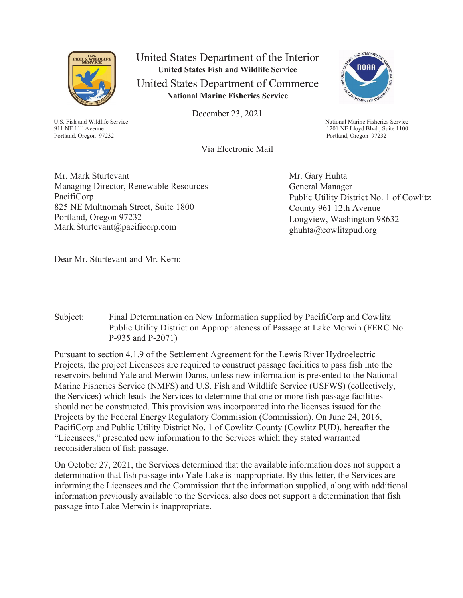

U.S. Fish and Wildlife Service 911 NE 11<sup>th</sup> Avenue Portland, Oregon 97232

United States Department of the Interior **United States Fish and Wildlife Service**  United States Department of Commerce **National Marine Fisheries Service**

December 23, 2021



National Marine Fisheries Service 1201 NE Lloyd Blvd., Suite 1100 Portland, Oregon 97232

Via Electronic Mail

Mr. Mark Sturtevant Managing Director, Renewable Resources PacifiCorp 825 NE Multnomah Street, Suite 1800 Portland, Oregon 97232 Mark.Sturtevant@pacificorp.com

Mr. Gary Huhta General Manager Public Utility District No. 1 of Cowlitz County 961 12th Avenue Longview, Washington 98632 ghuhta@cowlitzpud.org

Dear Mr. Sturtevant and Mr. Kern:

Subject: Final Determination on New Information supplied by PacifiCorp and Cowlitz Public Utility District on Appropriateness of Passage at Lake Merwin (FERC No. P-935 and P-2071)

Pursuant to section 4.1.9 of the Settlement Agreement for the Lewis River Hydroelectric Projects, the project Licensees are required to construct passage facilities to pass fish into the reservoirs behind Yale and Merwin Dams, unless new information is presented to the National Marine Fisheries Service (NMFS) and U.S. Fish and Wildlife Service (USFWS) (collectively, the Services) which leads the Services to determine that one or more fish passage facilities should not be constructed. This provision was incorporated into the licenses issued for the Projects by the Federal Energy Regulatory Commission (Commission). On June 24, 2016, PacifiCorp and Public Utility District No. 1 of Cowlitz County (Cowlitz PUD), hereafter the "Licensees," presented new information to the Services which they stated warranted reconsideration of fish passage.

On October 27, 2021, the Services determined that the available information does not support a determination that fish passage into Yale Lake is inappropriate. By this letter, the Services are informing the Licensees and the Commission that the information supplied, along with additional information previously available to the Services, also does not support a determination that fish passage into Lake Merwin is inappropriate.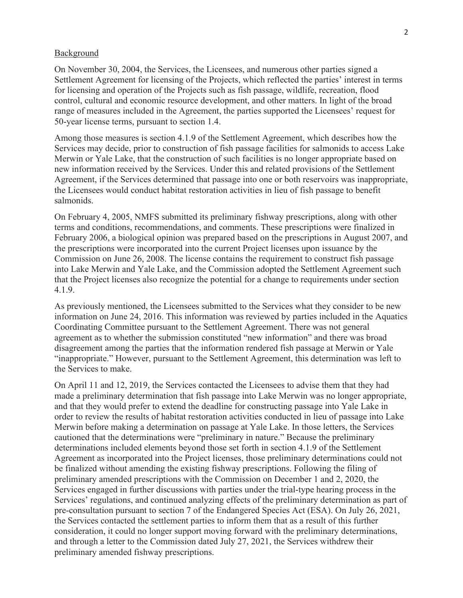#### Background

On November 30, 2004, the Services, the Licensees, and numerous other parties signed a Settlement Agreement for licensing of the Projects, which reflected the parties' interest in terms for licensing and operation of the Projects such as fish passage, wildlife, recreation, flood control, cultural and economic resource development, and other matters. In light of the broad range of measures included in the Agreement, the parties supported the Licensees' request for 50-year license terms, pursuant to section 1.4.

Among those measures is section 4.1.9 of the Settlement Agreement, which describes how the Services may decide, prior to construction of fish passage facilities for salmonids to access Lake Merwin or Yale Lake, that the construction of such facilities is no longer appropriate based on new information received by the Services. Under this and related provisions of the Settlement Agreement, if the Services determined that passage into one or both reservoirs was inappropriate, the Licensees would conduct habitat restoration activities in lieu of fish passage to benefit salmonids.

On February 4, 2005, NMFS submitted its preliminary fishway prescriptions, along with other terms and conditions, recommendations, and comments. These prescriptions were finalized in February 2006, a biological opinion was prepared based on the prescriptions in August 2007, and the prescriptions were incorporated into the current Project licenses upon issuance by the Commission on June 26, 2008. The license contains the requirement to construct fish passage into Lake Merwin and Yale Lake, and the Commission adopted the Settlement Agreement such that the Project licenses also recognize the potential for a change to requirements under section 4.1.9.

As previously mentioned, the Licensees submitted to the Services what they consider to be new information on June 24, 2016. This information was reviewed by parties included in the Aquatics Coordinating Committee pursuant to the Settlement Agreement. There was not general agreement as to whether the submission constituted "new information" and there was broad disagreement among the parties that the information rendered fish passage at Merwin or Yale "inappropriate." However, pursuant to the Settlement Agreement, this determination was left to the Services to make.

On April 11 and 12, 2019, the Services contacted the Licensees to advise them that they had made a preliminary determination that fish passage into Lake Merwin was no longer appropriate, and that they would prefer to extend the deadline for constructing passage into Yale Lake in order to review the results of habitat restoration activities conducted in lieu of passage into Lake Merwin before making a determination on passage at Yale Lake. In those letters, the Services cautioned that the determinations were "preliminary in nature." Because the preliminary determinations included elements beyond those set forth in section 4.1.9 of the Settlement Agreement as incorporated into the Project licenses, those preliminary determinations could not be finalized without amending the existing fishway prescriptions. Following the filing of preliminary amended prescriptions with the Commission on December 1 and 2, 2020, the Services engaged in further discussions with parties under the trial-type hearing process in the Services' regulations, and continued analyzing effects of the preliminary determination as part of pre-consultation pursuant to section 7 of the Endangered Species Act (ESA). On July 26, 2021, the Services contacted the settlement parties to inform them that as a result of this further consideration, it could no longer support moving forward with the preliminary determinations, and through a letter to the Commission dated July 27, 2021, the Services withdrew their preliminary amended fishway prescriptions.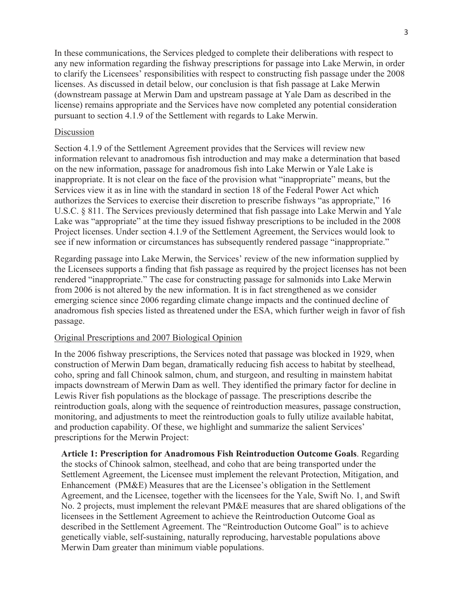In these communications, the Services pledged to complete their deliberations with respect to any new information regarding the fishway prescriptions for passage into Lake Merwin, in order to clarify the Licensees' responsibilities with respect to constructing fish passage under the 2008 licenses. As discussed in detail below, our conclusion is that fish passage at Lake Merwin (downstream passage at Merwin Dam and upstream passage at Yale Dam as described in the license) remains appropriate and the Services have now completed any potential consideration pursuant to section 4.1.9 of the Settlement with regards to Lake Merwin.

## Discussion

Section 4.1.9 of the Settlement Agreement provides that the Services will review new information relevant to anadromous fish introduction and may make a determination that based on the new information, passage for anadromous fish into Lake Merwin or Yale Lake is inappropriate. It is not clear on the face of the provision what "inappropriate" means, but the Services view it as in line with the standard in section 18 of the Federal Power Act which authorizes the Services to exercise their discretion to prescribe fishways "as appropriate," 16 U.S.C. § 811. The Services previously determined that fish passage into Lake Merwin and Yale Lake was "appropriate" at the time they issued fishway prescriptions to be included in the 2008 Project licenses. Under section 4.1.9 of the Settlement Agreement, the Services would look to see if new information or circumstances has subsequently rendered passage "inappropriate."

Regarding passage into Lake Merwin, the Services' review of the new information supplied by the Licensees supports a finding that fish passage as required by the project licenses has not been rendered "inappropriate." The case for constructing passage for salmonids into Lake Merwin from 2006 is not altered by the new information. It is in fact strengthened as we consider emerging science since 2006 regarding climate change impacts and the continued decline of anadromous fish species listed as threatened under the ESA, which further weigh in favor of fish passage.

## Original Prescriptions and 2007 Biological Opinion

In the 2006 fishway prescriptions, the Services noted that passage was blocked in 1929, when construction of Merwin Dam began, dramatically reducing fish access to habitat by steelhead, coho, spring and fall Chinook salmon, chum, and sturgeon, and resulting in mainstem habitat impacts downstream of Merwin Dam as well. They identified the primary factor for decline in Lewis River fish populations as the blockage of passage. The prescriptions describe the reintroduction goals, along with the sequence of reintroduction measures, passage construction, monitoring, and adjustments to meet the reintroduction goals to fully utilize available habitat, and production capability. Of these, we highlight and summarize the salient Services' prescriptions for the Merwin Project:

**Article 1: Prescription for Anadromous Fish Reintroduction Outcome Goals**. Regarding the stocks of Chinook salmon, steelhead, and coho that are being transported under the Settlement Agreement, the Licensee must implement the relevant Protection, Mitigation, and Enhancement (PM&E) Measures that are the Licensee's obligation in the Settlement Agreement, and the Licensee, together with the licensees for the Yale, Swift No. 1, and Swift No. 2 projects, must implement the relevant PM&E measures that are shared obligations of the licensees in the Settlement Agreement to achieve the Reintroduction Outcome Goal as described in the Settlement Agreement. The "Reintroduction Outcome Goal" is to achieve genetically viable, self-sustaining, naturally reproducing, harvestable populations above Merwin Dam greater than minimum viable populations.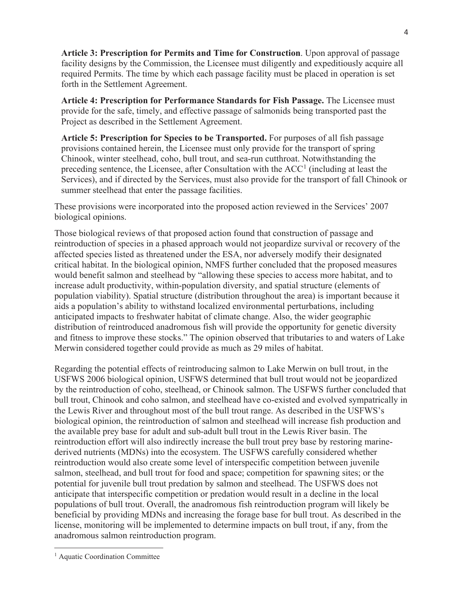**Article 3: Prescription for Permits and Time for Construction**. Upon approval of passage facility designs by the Commission, the Licensee must diligently and expeditiously acquire all required Permits. The time by which each passage facility must be placed in operation is set forth in the Settlement Agreement.

**Article 4: Prescription for Performance Standards for Fish Passage.** The Licensee must provide for the safe, timely, and effective passage of salmonids being transported past the Project as described in the Settlement Agreement.

**Article 5: Prescription for Species to be Transported.** For purposes of all fish passage provisions contained herein, the Licensee must only provide for the transport of spring Chinook, winter steelhead, coho, bull trout, and sea-run cutthroat. Notwithstanding the preceding sentence, the Licensee, after Consultation with the  $ACC<sup>1</sup>$  (including at least the Services), and if directed by the Services, must also provide for the transport of fall Chinook or summer steelhead that enter the passage facilities.

These provisions were incorporated into the proposed action reviewed in the Services' 2007 biological opinions.

Those biological reviews of that proposed action found that construction of passage and reintroduction of species in a phased approach would not jeopardize survival or recovery of the affected species listed as threatened under the ESA, nor adversely modify their designated critical habitat. In the biological opinion, NMFS further concluded that the proposed measures would benefit salmon and steelhead by "allowing these species to access more habitat, and to increase adult productivity, within-population diversity, and spatial structure (elements of population viability). Spatial structure (distribution throughout the area) is important because it aids a population's ability to withstand localized environmental perturbations, including anticipated impacts to freshwater habitat of climate change. Also, the wider geographic distribution of reintroduced anadromous fish will provide the opportunity for genetic diversity and fitness to improve these stocks." The opinion observed that tributaries to and waters of Lake Merwin considered together could provide as much as 29 miles of habitat.

Regarding the potential effects of reintroducing salmon to Lake Merwin on bull trout, in the USFWS 2006 biological opinion, USFWS determined that bull trout would not be jeopardized by the reintroduction of coho, steelhead, or Chinook salmon. The USFWS further concluded that bull trout, Chinook and coho salmon, and steelhead have co-existed and evolved sympatrically in the Lewis River and throughout most of the bull trout range. As described in the USFWS's biological opinion, the reintroduction of salmon and steelhead will increase fish production and the available prey base for adult and sub-adult bull trout in the Lewis River basin. The reintroduction effort will also indirectly increase the bull trout prey base by restoring marinederived nutrients (MDNs) into the ecosystem. The USFWS carefully considered whether reintroduction would also create some level of interspecific competition between juvenile salmon, steelhead, and bull trout for food and space; competition for spawning sites; or the potential for juvenile bull trout predation by salmon and steelhead. The USFWS does not anticipate that interspecific competition or predation would result in a decline in the local populations of bull trout. Overall, the anadromous fish reintroduction program will likely be beneficial by providing MDNs and increasing the forage base for bull trout. As described in the license, monitoring will be implemented to determine impacts on bull trout, if any, from the anadromous salmon reintroduction program.

<sup>&</sup>lt;sup>1</sup> Aquatic Coordination Committee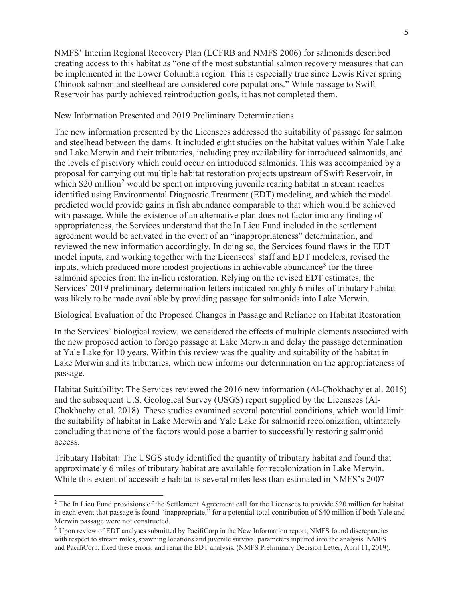NMFS' Interim Regional Recovery Plan (LCFRB and NMFS 2006) for salmonids described creating access to this habitat as "one of the most substantial salmon recovery measures that can be implemented in the Lower Columbia region. This is especially true since Lewis River spring Chinook salmon and steelhead are considered core populations." While passage to Swift Reservoir has partly achieved reintroduction goals, it has not completed them.

## New Information Presented and 2019 Preliminary Determinations

The new information presented by the Licensees addressed the suitability of passage for salmon and steelhead between the dams. It included eight studies on the habitat values within Yale Lake and Lake Merwin and their tributaries, including prey availability for introduced salmonids, and the levels of piscivory which could occur on introduced salmonids. This was accompanied by a proposal for carrying out multiple habitat restoration projects upstream of Swift Reservoir, in which \$20 million<sup>2</sup> would be spent on improving juvenile rearing habitat in stream reaches identified using Environmental Diagnostic Treatment (EDT) modeling, and which the model predicted would provide gains in fish abundance comparable to that which would be achieved with passage. While the existence of an alternative plan does not factor into any finding of appropriateness, the Services understand that the In Lieu Fund included in the settlement agreement would be activated in the event of an "inappropriateness" determination, and reviewed the new information accordingly. In doing so, the Services found flaws in the EDT model inputs, and working together with the Licensees' staff and EDT modelers, revised the inputs, which produced more modest projections in achievable abundance<sup>3</sup> for the three salmonid species from the in-lieu restoration. Relying on the revised EDT estimates, the Services' 2019 preliminary determination letters indicated roughly 6 miles of tributary habitat was likely to be made available by providing passage for salmonids into Lake Merwin.

## Biological Evaluation of the Proposed Changes in Passage and Reliance on Habitat Restoration

In the Services' biological review, we considered the effects of multiple elements associated with the new proposed action to forego passage at Lake Merwin and delay the passage determination at Yale Lake for 10 years. Within this review was the quality and suitability of the habitat in Lake Merwin and its tributaries, which now informs our determination on the appropriateness of passage.

Habitat Suitability: The Services reviewed the 2016 new information (Al-Chokhachy et al. 2015) and the subsequent U.S. Geological Survey (USGS) report supplied by the Licensees (Al-Chokhachy et al. 2018). These studies examined several potential conditions, which would limit the suitability of habitat in Lake Merwin and Yale Lake for salmonid recolonization, ultimately concluding that none of the factors would pose a barrier to successfully restoring salmonid access.

Tributary Habitat: The USGS study identified the quantity of tributary habitat and found that approximately 6 miles of tributary habitat are available for recolonization in Lake Merwin. While this extent of accessible habitat is several miles less than estimated in NMFS's 2007

<sup>&</sup>lt;sup>2</sup> The In Lieu Fund provisions of the Settlement Agreement call for the Licensees to provide \$20 million for habitat in each event that passage is found "inappropriate," for a potential total contribution of \$40 million if both Yale and Merwin passage were not constructed.

<sup>&</sup>lt;sup>3</sup> Upon review of EDT analyses submitted by PacifiCorp in the New Information report, NMFS found discrepancies with respect to stream miles, spawning locations and juvenile survival parameters inputted into the analysis. NMFS and PacifiCorp, fixed these errors, and reran the EDT analysis. (NMFS Preliminary Decision Letter, April 11, 2019).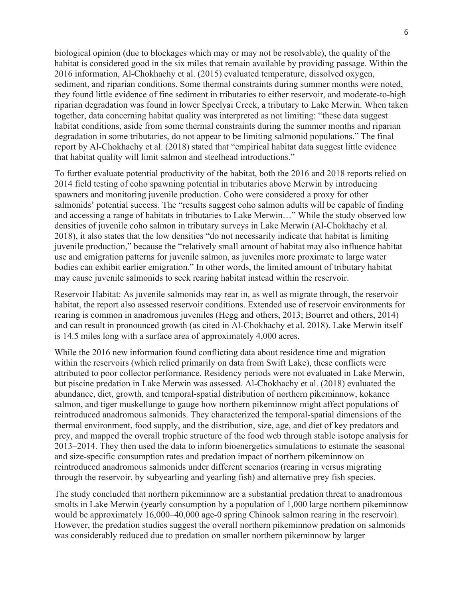biological opinion (due to blockages which may or may not be resolvable), the quality of the habitat is considered good in the six miles that remain available by providing passage. Within the 2016 information, Al-Chokhachy et al. (2015) evaluated temperature, dissolved oxygen, sediment, and riparian conditions. Some thermal constraints during summer months were noted, they found little evidence of fine sediment in tributaries to either reservoir, and moderate-to-high riparian degradation was found in lower Speelyai Creek, a tributary to Lake Merwin. When taken together, data concerning habitat quality was interpreted as not limiting: "these data suggest habitat conditions, aside from some thermal constraints during the summer months and riparian degradation in some tributaries, do not appear to be limiting salmonid populations." The final report by Al-Chokhachy et al. (2018) stated that "empirical habitat data suggest little evidence that habitat quality will limit salmon and steelhead introductions."

To further evaluate potential productivity of the habitat, both the 2016 and 2018 reports relied on 2014 field testing of coho spawning potential in tributaries above Merwin by introducing spawners and monitoring juvenile production. Coho were considered a proxy for other salmonids' potential success. The "results suggest coho salmon adults will be capable of finding and accessing a range of habitats in tributaries to Lake Merwin…" While the study observed low densities of juvenile coho salmon in tributary surveys in Lake Merwin (Al-Chokhachy et al. 2018), it also states that the low densities "do not necessarily indicate that habitat is limiting juvenile production," because the "relatively small amount of habitat may also influence habitat use and emigration patterns for juvenile salmon, as juveniles more proximate to large water bodies can exhibit earlier emigration." In other words, the limited amount of tributary habitat may cause juvenile salmonids to seek rearing habitat instead within the reservoir.

Reservoir Habitat: As juvenile salmonids may rear in, as well as migrate through, the reservoir habitat, the report also assessed reservoir conditions. Extended use of reservoir environments for rearing is common in anadromous juveniles (Hegg and others, 2013; Bourret and others, 2014) and can result in pronounced growth (as cited in Al-Chokhachy et al. 2018). Lake Merwin itself is 14.5 miles long with a surface area of approximately 4,000 acres.

While the 2016 new information found conflicting data about residence time and migration within the reservoirs (which relied primarily on data from Swift Lake), these conflicts were attributed to poor collector performance. Residency periods were not evaluated in Lake Merwin, but piscine predation in Lake Merwin was assessed. Al-Chokhachy et al. (2018) evaluated the abundance, diet, growth, and temporal-spatial distribution of northern pikeminnow, kokanee salmon, and tiger muskellunge to gauge how northern pikeminnow might affect populations of reintroduced anadromous salmonids. They characterized the temporal-spatial dimensions of the thermal environment, food supply, and the distribution, size, age, and diet of key predators and prey, and mapped the overall trophic structure of the food web through stable isotope analysis for 2013–2014. They then used the data to inform bioenergetics simulations to estimate the seasonal and size-specific consumption rates and predation impact of northern pikeminnow on reintroduced anadromous salmonids under different scenarios (rearing in versus migrating through the reservoir, by subyearling and yearling fish) and alternative prey fish species.

The study concluded that northern pikeminnow are a substantial predation threat to anadromous smolts in Lake Merwin (yearly consumption by a population of 1,000 large northern pikeminnow would be approximately 16,000–40,000 age-0 spring Chinook salmon rearing in the reservoir). However, the predation studies suggest the overall northern pikeminnow predation on salmonids was considerably reduced due to predation on smaller northern pikeminnow by larger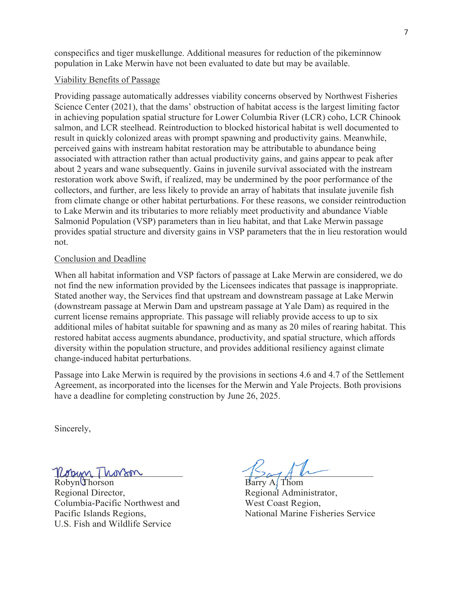conspecifics and tiger muskellunge. Additional measures for reduction of the pikeminnow population in Lake Merwin have not been evaluated to date but may be available.

# Viability Benefits of Passage

Providing passage automatically addresses viability concerns observed by Northwest Fisheries Science Center (2021), that the dams' obstruction of habitat access is the largest limiting factor in achieving population spatial structure for Lower Columbia River (LCR) coho, LCR Chinook salmon, and LCR steelhead. Reintroduction to blocked historical habitat is well documented to result in quickly colonized areas with prompt spawning and productivity gains. Meanwhile, perceived gains with instream habitat restoration may be attributable to abundance being associated with attraction rather than actual productivity gains, and gains appear to peak after about 2 years and wane subsequently. Gains in juvenile survival associated with the instream restoration work above Swift, if realized, may be undermined by the poor performance of the collectors, and further, are less likely to provide an array of habitats that insulate juvenile fish from climate change or other habitat perturbations. For these reasons, we consider reintroduction to Lake Merwin and its tributaries to more reliably meet productivity and abundance Viable Salmonid Population (VSP) parameters than in lieu habitat, and that Lake Merwin passage provides spatial structure and diversity gains in VSP parameters that the in lieu restoration would not.

## Conclusion and Deadline

When all habitat information and VSP factors of passage at Lake Merwin are considered, we do not find the new information provided by the Licensees indicates that passage is inappropriate. Stated another way, the Services find that upstream and downstream passage at Lake Merwin (downstream passage at Merwin Dam and upstream passage at Yale Dam) as required in the current license remains appropriate. This passage will reliably provide access to up to six additional miles of habitat suitable for spawning and as many as 20 miles of rearing habitat. This restored habitat access augments abundance, productivity, and spatial structure, which affords diversity within the population structure, and provides additional resiliency against climate change-induced habitat perturbations.

Passage into Lake Merwin is required by the provisions in sections 4.6 and 4.7 of the Settlement Agreement, as incorporated into the licenses for the Merwin and Yale Projects. Both provisions have a deadline for completing construction by June 26, 2025.

Sincerely,

 $U$ orm I hovom

Robyn Thorson Barry A. Thom Regional Director, Regional Administrator, Columbia-Pacific Northwest and West Coast Region, U.S. Fish and Wildlife Service

Pacific Islands Regions, National Marine Fisheries Service